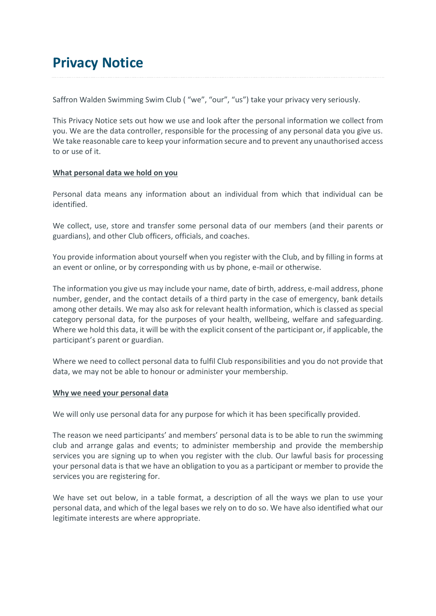# **Privacy Notice**

Saffron Walden Swimming Swim Club ( "we", "our", "us") take your privacy very seriously.

This Privacy Notice sets out how we use and look after the personal information we collect from you. We are the data controller, responsible for the processing of any personal data you give us. We take reasonable care to keep your information secure and to prevent any unauthorised access to or use of it.

## **What personal data we hold on you**

Personal data means any information about an individual from which that individual can be identified.

We collect, use, store and transfer some personal data of our members (and their parents or guardians), and other Club officers, officials, and coaches.

You provide information about yourself when you register with the Club, and by filling in forms at an event or online, or by corresponding with us by phone, e-mail or otherwise.

The information you give us may include your name, date of birth, address, e-mail address, phone number, gender, and the contact details of a third party in the case of emergency, bank details among other details. We may also ask for relevant health information, which is classed as special category personal data, for the purposes of your health, wellbeing, welfare and safeguarding. Where we hold this data, it will be with the explicit consent of the participant or, if applicable, the participant's parent or guardian.

Where we need to collect personal data to fulfil Club responsibilities and you do not provide that data, we may not be able to honour or administer your membership.

#### **Why we need your personal data**

We will only use personal data for any purpose for which it has been specifically provided.

The reason we need participants' and members' personal data is to be able to run the swimming club and arrange galas and events; to administer membership and provide the membership services you are signing up to when you register with the club. Our lawful basis for processing your personal data is that we have an obligation to you as a participant or member to provide the services you are registering for.

We have set out below, in a table format, a description of all the ways we plan to use your personal data, and which of the legal bases we rely on to do so. We have also identified what our legitimate interests are where appropriate.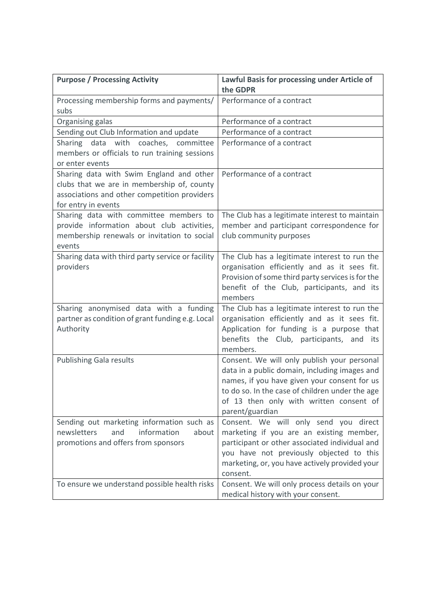| <b>Purpose / Processing Activity</b>                                                                                                                          | Lawful Basis for processing under Article of<br>the GDPR                                                                                                                                                                                                      |
|---------------------------------------------------------------------------------------------------------------------------------------------------------------|---------------------------------------------------------------------------------------------------------------------------------------------------------------------------------------------------------------------------------------------------------------|
| Processing membership forms and payments/<br>subs                                                                                                             | Performance of a contract                                                                                                                                                                                                                                     |
| Organising galas                                                                                                                                              | Performance of a contract                                                                                                                                                                                                                                     |
| Sending out Club Information and update                                                                                                                       | Performance of a contract                                                                                                                                                                                                                                     |
| Sharing data with coaches, committee<br>members or officials to run training sessions<br>or enter events                                                      | Performance of a contract                                                                                                                                                                                                                                     |
| Sharing data with Swim England and other<br>clubs that we are in membership of, county<br>associations and other competition providers<br>for entry in events | Performance of a contract                                                                                                                                                                                                                                     |
| Sharing data with committee members to<br>provide information about club activities,<br>membership renewals or invitation to social<br>events                 | The Club has a legitimate interest to maintain<br>member and participant correspondence for<br>club community purposes                                                                                                                                        |
| Sharing data with third party service or facility<br>providers                                                                                                | The Club has a legitimate interest to run the<br>organisation efficiently and as it sees fit.<br>Provision of some third party services is for the<br>benefit of the Club, participants, and its<br>members                                                   |
| Sharing anonymised data with a funding<br>partner as condition of grant funding e.g. Local<br>Authority                                                       | The Club has a legitimate interest to run the<br>organisation efficiently and as it sees fit.<br>Application for funding is a purpose that<br>benefits the Club, participants, and its<br>members.                                                            |
| <b>Publishing Gala results</b>                                                                                                                                | Consent. We will only publish your personal<br>data in a public domain, including images and<br>names, if you have given your consent for us<br>to do so. In the case of children under the age<br>of 13 then only with written consent of<br>parent/guardian |
| Sending out marketing information such as<br>newsletters<br>and<br>information<br>about<br>promotions and offers from sponsors                                | Consent. We will only send you direct<br>marketing if you are an existing member,<br>participant or other associated individual and<br>you have not previously objected to this<br>marketing, or, you have actively provided your<br>consent.                 |
| To ensure we understand possible health risks                                                                                                                 | Consent. We will only process details on your<br>medical history with your consent.                                                                                                                                                                           |